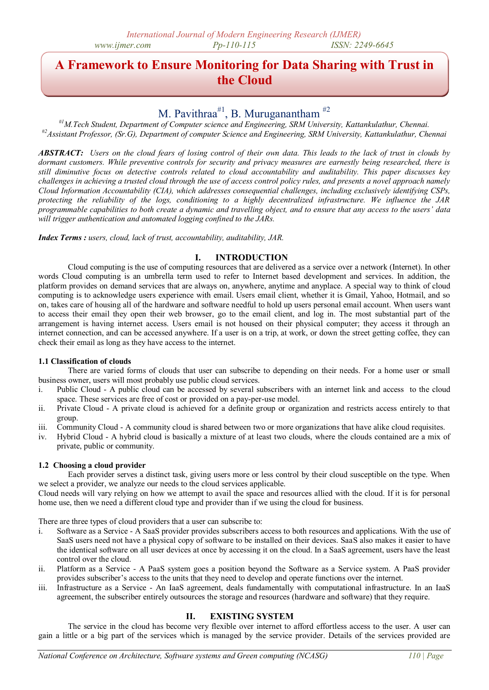# **A Framework to Ensure Monitoring for Data Sharing with Trust in the Cloud**

# M. Pavithraa $^{#1}$ , B. Muruganantham  $^{#2}$

*#1M.Tech Student, Department of Computer science and Engineering, SRM University, Kattankulathur, Chennai. #2Assistant Professor, (Sr.G), Department of computer Science and Engineering, SRM University, Kattankulathur, Chennai*

*ABSTRACT: Users on the cloud fears of losing control of their own data. This leads to the lack of trust in clouds by dormant customers. While preventive controls for security and privacy measures are earnestly being researched, there is still diminutive focus on detective controls related to cloud accountability and auditability. This paper discusses key challenges in achieving a trusted cloud through the use of access control policy rules, and presents a novel approach namely Cloud Information Accountability (CIA), which addresses consequential challenges, including exclusively identifying CSPs, protecting the reliability of the logs, conditioning to a highly decentralized infrastructure. We influence the JAR programmable capabilities to both create a dynamic and travelling object, and to ensure that any access to the users' data will trigger authentication and automated logging confined to the JARs.*

*Index Terms : users, cloud, lack of trust, accountability, auditability, JAR.*

# **I. INTRODUCTION**

Cloud computing is the use of computing resources that are delivered as a service over a network (Internet). In other words Cloud computing is an umbrella term used to refer to Internet based development and services. In addition, the platform provides on demand services that are always on, anywhere, anytime and anyplace. A special way to think of cloud computing is to acknowledge users experience with email. Users email client, whether it is Gmail, Yahoo, Hotmail, and so on, takes care of housing all of the hardware and software needful to hold up users personal email account. When users want to access their email they open their web browser, go to the email client, and log in. The most substantial part of the arrangement is having internet access. Users email is not housed on their physical computer; they access it through an internet connection, and can be accessed anywhere. If a user is on a trip, at work, or down the street getting coffee, they can check their email as long as they have access to the internet.

## **1.1 Classification of clouds**

There are varied forms of clouds that user can subscribe to depending on their needs. For a home user or small business owner, users will most probably use public cloud services.

- i. Public Cloud A public cloud can be accessed by several subscribers with an internet link and access to the cloud space. These services are free of cost or provided on a pay-per-use model.
- ii. Private Cloud A private cloud is achieved for a definite group or organization and restricts access entirely to that group.
- iii. Community Cloud A community cloud is shared between two or more organizations that have alike cloud requisites.
- iv. Hybrid Cloud A hybrid cloud is basically a mixture of at least two clouds, where the clouds contained are a mix of private, public or community.

## **1.2 Choosing a cloud provider**

Each provider serves a distinct task, giving users more or less control by their cloud susceptible on the type. When we select a provider, we analyze our needs to the cloud services applicable.

Cloud needs will vary relying on how we attempt to avail the space and resources allied with the cloud. If it is for personal home use, then we need a different cloud type and provider than if we using the cloud for business.

There are three types of cloud providers that a user can subscribe to:

- i. Software as a Service A SaaS provider provides subscribers access to both resources and applications. With the use of SaaS users need not have a physical copy of software to be installed on their devices. SaaS also makes it easier to have the identical software on all user devices at once by accessing it on the cloud. In a SaaS agreement, users have the least control over the cloud.
- ii. Platform as a Service A PaaS system goes a position beyond the Software as a Service system. A PaaS provider provides subscriber's access to the units that they need to develop and operate functions over the internet.
- iii. Infrastructure as a Service An IaaS agreement, deals fundamentally with computational infrastructure. In an IaaS agreement, the subscriber entirely outsources the storage and resources (hardware and software) that they require.

# **II. EXISTING SYSTEM**

The service in the cloud has become very flexible over internet to afford effortless access to the user. A user can gain a little or a big part of the services which is managed by the service provider. Details of the services provided are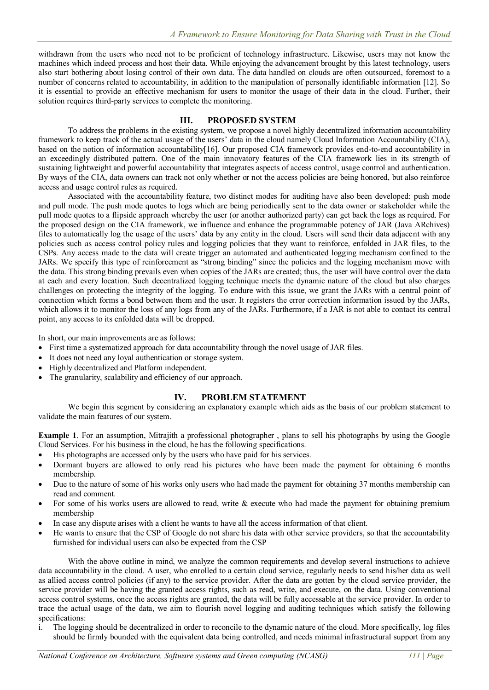withdrawn from the users who need not to be proficient of technology infrastructure. Likewise, users may not know the machines which indeed process and host their data. While enjoying the advancement brought by this latest technology, users also start bothering about losing control of their own data. The data handled on clouds are often outsourced, foremost to a number of concerns related to accountability, in addition to the manipulation of personally identifiable information [12]. So it is essential to provide an effective mechanism for users to monitor the usage of their data in the cloud. Further, their solution requires third-party services to complete the monitoring.

## **III. PROPOSED SYSTEM**

To address the problems in the existing system, we propose a novel highly decentralized information accountability framework to keep track of the actual usage of the users' data in the cloud namely Cloud Information Accountability (CIA), based on the notion of information accountability[16]. Our proposed CIA framework provides end-to-end accountability in an exceedingly distributed pattern. One of the main innovatory features of the CIA framework lies in its strength of sustaining lightweight and powerful accountability that integrates aspects of access control, usage control and authentication. By ways of the CIA, data owners can track not only whether or not the access policies are being honored, but also reinforce access and usage control rules as required.

Associated with the accountability feature, two distinct modes for auditing have also been developed: push mode and pull mode. The push mode quotes to logs which are being periodically sent to the data owner or stakeholder while the pull mode quotes to a flipside approach whereby the user (or another authorized party) can get back the logs as required. For the proposed design on the CIA framework, we influence and enhance the programmable potency of JAR (Java ARchives) files to automatically log the usage of the users' data by any entity in the cloud. Users will send their data adjacent with any policies such as access control policy rules and logging policies that they want to reinforce, enfolded in JAR files, to the CSPs. Any access made to the data will create trigger an automated and authenticated logging mechanism confined to the JARs. We specify this type of reinforcement as "strong binding" since the policies and the logging mechanism move with the data. This strong binding prevails even when copies of the JARs are created; thus, the user will have control over the data at each and every location. Such decentralized logging technique meets the dynamic nature of the cloud but also charges challenges on protecting the integrity of the logging. To endure with this issue, we grant the JARs with a central point of connection which forms a bond between them and the user. It registers the error correction information issued by the JARs, which allows it to monitor the loss of any logs from any of the JARs. Furthermore, if a JAR is not able to contact its central point, any access to its enfolded data will be dropped.

In short, our main improvements are as follows:

- First time a systematized approach for data accountability through the novel usage of JAR files.
- It does not need any loyal authentication or storage system.
- Highly decentralized and Platform independent.
- The granularity, scalability and efficiency of our approach.

# **IV. PROBLEM STATEMENT**

We begin this segment by considering an explanatory example which aids as the basis of our problem statement to validate the main features of our system.

**Example 1**. For an assumption, Mitrajith a professional photographer , plans to sell his photographs by using the Google Cloud Services. For his business in the cloud, he has the following specifications.

- His photographs are accessed only by the users who have paid for his services.
- Dormant buyers are allowed to only read his pictures who have been made the payment for obtaining 6 months membership.
- Due to the nature of some of his works only users who had made the payment for obtaining 37 months membership can read and comment.
- For some of his works users are allowed to read, write & execute who had made the payment for obtaining premium membership
- In case any dispute arises with a client he wants to have all the access information of that client.
- He wants to ensure that the CSP of Google do not share his data with other service providers, so that the accountability furnished for individual users can also be expected from the CSP

With the above outline in mind, we analyze the common requirements and develop several instructions to achieve data accountability in the cloud. A user, who enrolled to a certain cloud service, regularly needs to send his/her data as well as allied access control policies (if any) to the service provider. After the data are gotten by the cloud service provider, the service provider will be having the granted access rights, such as read, write, and execute, on the data. Using conventional access control systems, once the access rights are granted, the data will be fully accessable at the service provider. In order to trace the actual usage of the data, we aim to flourish novel logging and auditing techniques which satisfy the following specifications:

i. The logging should be decentralized in order to reconcile to the dynamic nature of the cloud. More specifically, log files should be firmly bounded with the equivalent data being controlled, and needs minimal infrastructural support from any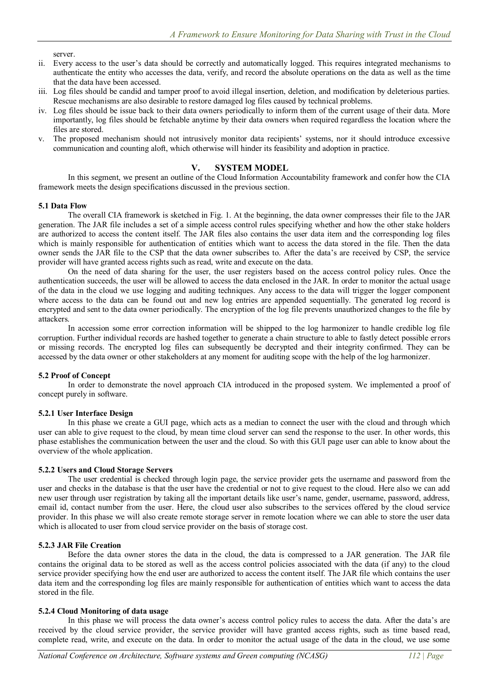server.

- ii. Every access to the user's data should be correctly and automatically logged. This requires integrated mechanisms to authenticate the entity who accesses the data, verify, and record the absolute operations on the data as well as the time that the data have been accessed.
- iii. Log files should be candid and tamper proof to avoid illegal insertion, deletion, and modification by deleterious parties. Rescue mechanisms are also desirable to restore damaged log files caused by technical problems.
- iv. Log files should be issue back to their data owners periodically to inform them of the current usage of their data. More importantly, log files should be fetchable anytime by their data owners when required regardless the location where the files are stored.
- v. The proposed mechanism should not intrusively monitor data recipients' systems, nor it should introduce excessive communication and counting aloft, which otherwise will hinder its feasibility and adoption in practice.

#### **V. SYSTEM MODEL**

In this segment, we present an outline of the Cloud Information Accountability framework and confer how the CIA framework meets the design specifications discussed in the previous section.

#### **5.1 Data Flow**

The overall CIA framework is sketched in Fig. 1. At the beginning, the data owner compresses their file to the JAR generation. The JAR file includes a set of a simple access control rules specifying whether and how the other stake holders are authorized to access the content itself. The JAR files also contains the user data item and the corresponding log files which is mainly responsible for authentication of entities which want to access the data stored in the file. Then the data owner sends the JAR file to the CSP that the data owner subscribes to. After the data's are received by CSP, the service provider will have granted access rights such as read, write and execute on the data.

On the need of data sharing for the user, the user registers based on the access control policy rules. Once the authentication succeeds, the user will be allowed to access the data enclosed in the JAR. In order to monitor the actual usage of the data in the cloud we use logging and auditing techniques. Any access to the data will trigger the logger component where access to the data can be found out and new log entries are appended sequentially. The generated log record is encrypted and sent to the data owner periodically. The encryption of the log file prevents unauthorized changes to the file by attackers.

In accession some error correction information will be shipped to the log harmonizer to handle credible log file corruption. Further individual records are hashed together to generate a chain structure to able to fastly detect possible errors or missing records. The encrypted log files can subsequently be decrypted and their integrity confirmed. They can be accessed by the data owner or other stakeholders at any moment for auditing scope with the help of the log harmonizer.

#### **5.2 Proof of Concept**

In order to demonstrate the novel approach CIA introduced in the proposed system. We implemented a proof of concept purely in software.

#### **5.2.1 User Interface Design**

In this phase we create a GUI page, which acts as a median to connect the user with the cloud and through which user can able to give request to the cloud, by mean time cloud server can send the response to the user. In other words, this phase establishes the communication between the user and the cloud. So with this GUI page user can able to know about the overview of the whole application.

#### **5.2.2 Users and Cloud Storage Servers**

The user credential is checked through login page, the service provider gets the username and password from the user and checks in the database is that the user have the credential or not to give request to the cloud. Here also we can add new user through user registration by taking all the important details like user's name, gender, username, password, address, email id, contact number from the user. Here, the cloud user also subscribes to the services offered by the cloud service provider. In this phase we will also create remote storage server in remote location where we can able to store the user data which is allocated to user from cloud service provider on the basis of storage cost.

#### **5.2.3 JAR File Creation**

Before the data owner stores the data in the cloud, the data is compressed to a JAR generation. The JAR file contains the original data to be stored as well as the access control policies associated with the data (if any) to the cloud service provider specifying how the end user are authorized to access the content itself. The JAR file which contains the user data item and the corresponding log files are mainly responsible for authentication of entities which want to access the data stored in the file.

#### **5.2.4 Cloud Monitoring of data usage**

In this phase we will process the data owner's access control policy rules to access the data. After the data's are received by the cloud service provider, the service provider will have granted access rights, such as time based read, complete read, write, and execute on the data. In order to monitor the actual usage of the data in the cloud, we use some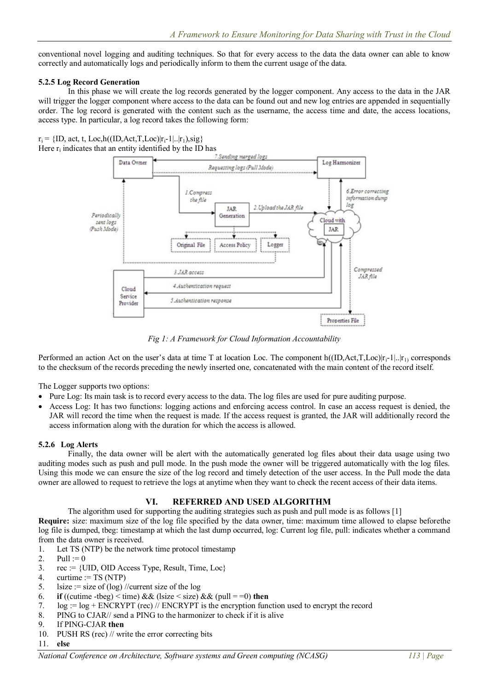conventional novel logging and auditing techniques. So that for every access to the data the data owner can able to know correctly and automatically logs and periodically inform to them the current usage of the data.

#### **5.2.5 Log Record Generation**

In this phase we will create the log records generated by the logger component. Any access to the data in the JAR will trigger the logger component where access to the data can be found out and new log entries are appended in sequentially order. The log record is generated with the content such as the username, the access time and date, the access locations, access type. In particular, a log record takes the following form:

 $r_i = \{ ID, act, t, Loc, h((ID, Act, T, Loc)|r_i-1|..|r_1), sig \}$ Here  $r_i$  indicates that an entity identified by the ID has



*Fig 1: A Framework for Cloud Information Accountability*

Performed an action Act on the user's data at time T at location Loc. The component h( $(ID, Act, T, Loc)|r_i-1|..|r_1$ ) corresponds to the checksum of the records preceding the newly inserted one, concatenated with the main content of the record itself.

The Logger supports two options:

- Pure Log: Its main task is to record every access to the data. The log files are used for pure auditing purpose.
- Access Log: It has two functions: logging actions and enforcing access control. In case an access request is denied, the JAR will record the time when the request is made. If the access request is granted, the JAR will additionally record the access information along with the duration for which the access is allowed.

## **5.2.6 Log Alerts**

Finally, the data owner will be alert with the automatically generated log files about their data usage using two auditing modes such as push and pull mode. In the push mode the owner will be triggered automatically with the log files. Using this mode we can ensure the size of the log record and timely detection of the user access. In the Pull mode the data owner are allowed to request to retrieve the logs at anytime when they want to check the recent access of their data items.

# **VI. REFERRED AND USED ALGORITHM**

The algorithm used for supporting the auditing strategies such as push and pull mode is as follows [1] **Require:** size: maximum size of the log file specified by the data owner, time: maximum time allowed to elapse beforethe log file is dumped, tbeg: timestamp at which the last dump occurred, log: Current log file, pull: indicates whether a command

from the data owner is received.

- 1. Let TS (NTP) be the network time protocol timestamp
- 2. Pull  $:= 0$
- 3. rec := {UID, OID Access Type, Result, Time, Loc}
- 4. curtime :=  $TS (NTP)$
- 5. lsize := size of (log) //current size of the log
- 6. **if** ((cutime -tbeg)  $\lt$  time) && (lsize  $\lt$  size) && (pull = =0) **then**
- 7.  $log := log + ENCRYPT$  (rec) // ENCRYPT is the encryption function used to encrypt the record
- 8. PING to CJAR// send a PING to the harmonizer to check if it is alive
- 9. If PING-CJAR **then**
- 10. PUSH RS (rec) // write the error correcting bits
- 11. **else**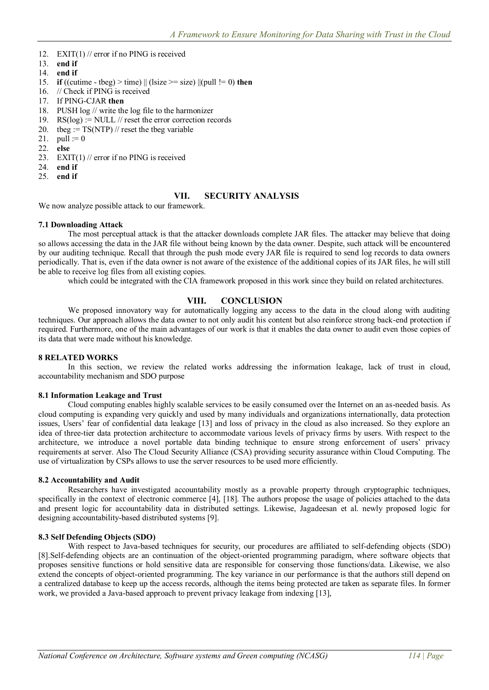- 12. EXIT(1) // error if no PING is received
- 13. **end if**
- 14. **end if**
- 15. **if** ((cutime tbeg) > time)  $\|$  (lsize >= size)  $\|$ (pull != 0) **then**
- 16. // Check if PING is received
- 17. If PING-CJAR **then**
- 18. PUSH log // write the log file to the harmonizer
- 19.  $RS(log) := NULL$  // reset the error correction records
- 20. tbeg :=  $TS(NTP)$  // reset the tbeg variable
- 21.  $pull := 0$
- 22. **else**
- 23. EXIT(1)  $\theta$  error if no PING is received
- 24. **end if**
- 25. **end if**

#### **VII. SECURITY ANALYSIS**

We now analyze possible attack to our framework.

#### **7.1 Downloading Attack**

The most perceptual attack is that the attacker downloads complete JAR files. The attacker may believe that doing so allows accessing the data in the JAR file without being known by the data owner. Despite, such attack will be encountered by our auditing technique. Recall that through the push mode every JAR file is required to send log records to data owners periodically. That is, even if the data owner is not aware of the existence of the additional copies of its JAR files, he will still be able to receive log files from all existing copies.

which could be integrated with the CIA framework proposed in this work since they build on related architectures.

## **VIII. CONCLUSION**

We proposed innovatory way for automatically logging any access to the data in the cloud along with auditing techniques. Our approach allows the data owner to not only audit his content but also reinforce strong back-end protection if required. Furthermore, one of the main advantages of our work is that it enables the data owner to audit even those copies of its data that were made without his knowledge.

#### **8 RELATED WORKS**

In this section, we review the related works addressing the information leakage, lack of trust in cloud, accountability mechanism and SDO purpose

#### **8.1 Information Leakage and Trust**

Cloud computing enables highly scalable services to be easily consumed over the Internet on an as-needed basis. As cloud computing is expanding very quickly and used by many individuals and organizations internationally, data protection issues, Users' fear of confidential data leakage [13] and loss of privacy in the cloud as also increased. So they explore an idea of three-tier data protection architecture to accommodate various levels of privacy firms by users. With respect to the architecture, we introduce a novel portable data binding technique to ensure strong enforcement of users' privacy requirements at server. Also The Cloud Security Alliance (CSA) providing security assurance within Cloud Computing. The use of virtualization by CSPs allows to use the server resources to be used more efficiently.

#### **8.2 Accountability and Audit**

Researchers have investigated accountability mostly as a provable property through cryptographic techniques, specifically in the context of electronic commerce [4], [18]. The authors propose the usage of policies attached to the data and present logic for accountability data in distributed settings. Likewise, Jagadeesan et al. newly proposed logic for designing accountability-based distributed systems [9].

#### **8.3 Self Defending Objects (SDO)**

With respect to Java-based techniques for security, our procedures are affiliated to self-defending objects (SDO) [8].Self-defending objects are an continuation of the object-oriented programming paradigm, where software objects that proposes sensitive functions or hold sensitive data are responsible for conserving those functions/data. Likewise, we also extend the concepts of object-oriented programming. The key variance in our performance is that the authors still depend on a centralized database to keep up the access records, although the items being protected are taken as separate files. In former work, we provided a Java-based approach to prevent privacy leakage from indexing [13],